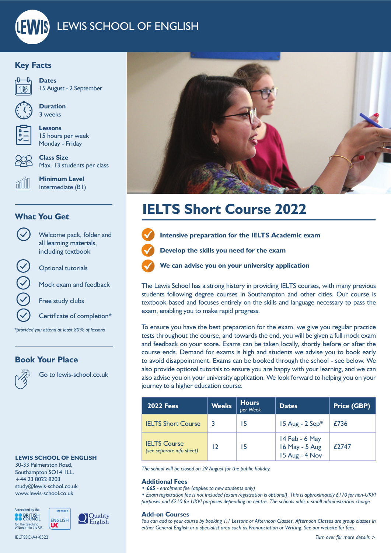# LEWIS SCHOOL OF ENGLISH

# **Key Facts**



**Dates** 15 August - 2 September



**Duration** 3 weeks

**Lessons** 15 hours per week Monday - Friday

**Class Size** Max. 13 students per class

**Minimum Level** Intermediate (B1)

# **What You Get**



Optional tutorials

Mock exam and feedback

Welcome pack, folder and all learning materials, including textbook

Free study clubs

Certificate of completion\*

*\*provided you attend at least 80% of lessons*

### **Book Your Place**



Go to lewis-school.co.uk

#### **LEWIS SCHOOL OF ENGLISH**

30-33 Palmerston Road, Southampton SO14 1LL. +44 23 8022 8203 study@lewis-school.co.uk www.lewis-school.co.uk



IELTSSC-A4-0522



# **IELTS Short Course 2022**



**Intensive preparation for the IELTS Academic exam**

**Develop the skills you need for the exam**





**We can advise you on your university application**

The Lewis School has a strong history in providing IELTS courses, with many previous students following degree courses in Southampton and other cities. Our course is textbook-based and focuses entirely on the skills and language necessary to pass the exam, enabling you to make rapid progress.

To ensure you have the best preparation for the exam, we give you regular practice tests throughout the course, and towards the end, you will be given a full mock exam and feedback on your score. Exams can be taken locally, shortly before or after the course ends. Demand for exams is high and students we advise you to book early to avoid disappointment. Exams can be booked through the school - see below. We also provide optional tutorials to ensure you are happy with your learning, and we can also advise you on your university application. We look forward to helping you on your journey to a higher education course.

| <b>2022 Fees</b>                                 | <b>Weeks</b> | <b>Hours</b><br>per Week | Dates                                              | <b>Price (GBP)</b> |
|--------------------------------------------------|--------------|--------------------------|----------------------------------------------------|--------------------|
| <b>IELTS Short Course</b>                        |              | 15                       | 15 Aug - $2$ Sep*                                  | £736               |
| <b>IELTS Course</b><br>(see separate info sheet) | 12           | 15                       | 14 Feb - 6 May<br>16 May - 5 Aug<br>15 Aug - 4 Nov | £2747              |

*The school will be closed on 29 August for the public holiday.*

#### **Additional Fees**

*• £65 - enrolment fee (applies to new students only)*

*• Exam registration fee is not included (exam registration is optional). This is approximately £170 for non-UKVI purposes and £210 for UKVI purposes depending on centre. The schools adds a small administration charge.*

#### **Add-on Courses**

*You can add to your course by booking 1:1 Lessons or Afternoon Classes. Afternoon Classes are group classes in either General English or a specialist area such as Pronunciation or Writing. See our website for fees.*